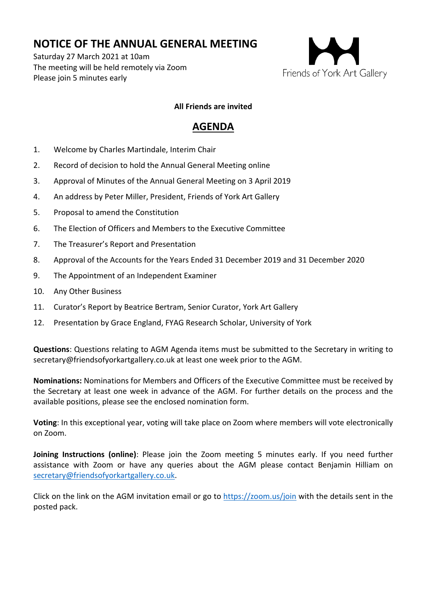## **NOTICE OF THE ANNUAL GENERAL MEETING**

Saturday 27 March 2021 at 10am The meeting will be held remotely via Zoom Please join 5 minutes early



## **All Friends are invited**

## **AGENDA**

- 1. Welcome by Charles Martindale, Interim Chair
- 2. Record of decision to hold the Annual General Meeting online
- 3. Approval of Minutes of the Annual General Meeting on 3 April 2019
- 4. An address by Peter Miller, President, Friends of York Art Gallery
- 5. Proposal to amend the Constitution
- 6. The Election of Officers and Members to the Executive Committee
- 7. The Treasurer's Report and Presentation
- 8. Approval of the Accounts for the Years Ended 31 December 2019 and 31 December 2020
- 9. The Appointment of an Independent Examiner
- 10. Any Other Business
- 11. Curator's Report by Beatrice Bertram, Senior Curator, York Art Gallery
- 12. Presentation by Grace England, FYAG Research Scholar, University of York

**Questions**: Questions relating to AGM Agenda items must be submitted to the Secretary in writing to secretary@friendsofyorkartgallery.co.uk at least one week prior to the AGM.

**Nominations:** Nominations for Members and Officers of the Executive Committee must be received by the Secretary at least one week in advance of the AGM. For further details on the process and the available positions, please see the enclosed nomination form.

**Voting**: In this exceptional year, voting will take place on Zoom where members will vote electronically on Zoom.

**Joining Instructions (online)**: Please join the Zoom meeting 5 minutes early. If you need further assistance with Zoom or have any queries about the AGM please contact Benjamin Hilliam on secretary@friendsofyorkartgallery.co.uk.

Click on the link on the AGM invitation email or go to https://zoom.us/join with the details sent in the posted pack.